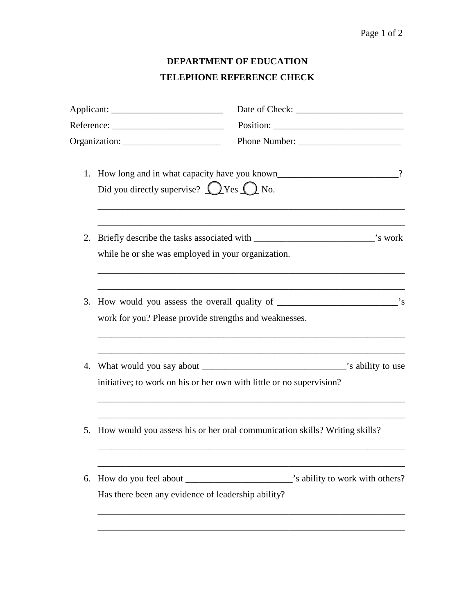## Page 1 of 2

## **DEPARTMENT OF EDUCATION TELEPHONE REFERENCE CHECK**

| Applicant: |                                                        |                                                                            |  |    |                                                           |                                                                                                              |
|------------|--------------------------------------------------------|----------------------------------------------------------------------------|--|----|-----------------------------------------------------------|--------------------------------------------------------------------------------------------------------------|
|            |                                                        |                                                                            |  |    | Did you directly supervise? $\bigcirc$ Yes $\bigcirc$ No. | $\overline{\mathcal{L}}$<br>1. How long and in what capacity have you known_________________________________ |
|            |                                                        |                                                                            |  | 2. | while he or she was employed in your organization.        |                                                                                                              |
| 3.         | work for you? Please provide strengths and weaknesses. |                                                                            |  |    |                                                           |                                                                                                              |
| 4.         |                                                        | initiative; to work on his or her own with little or no supervision?       |  |    |                                                           |                                                                                                              |
| 5.         |                                                        | How would you assess his or her oral communication skills? Writing skills? |  |    |                                                           |                                                                                                              |
| 6.         | Has there been any evidence of leadership ability?     |                                                                            |  |    |                                                           |                                                                                                              |
|            |                                                        |                                                                            |  |    |                                                           |                                                                                                              |